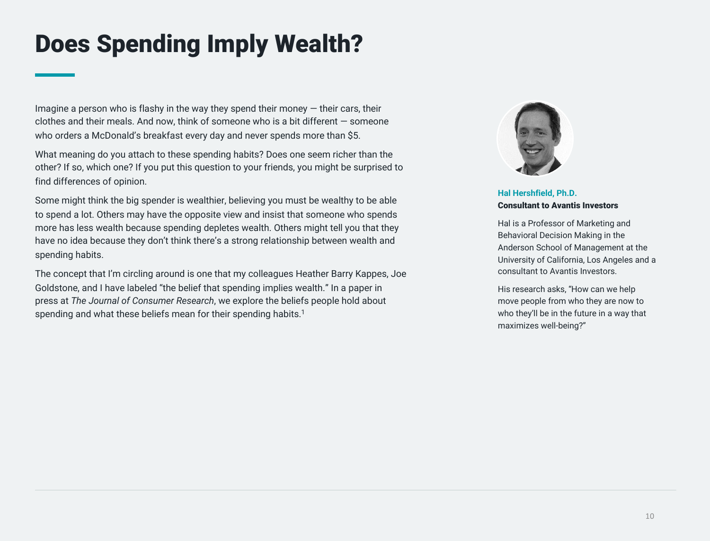# Does Spending Imply Wealth?

Imagine a person who is flashy in the way they spend their money  $-$  their cars, their clothes and their meals. And now, think of someone who is a bit different — someone who orders a McDonald's breakfast every day and never spends more than \$5.

What meaning do you attach to these spending habits? Does one seem richer than the other? If so, which one? If you put this question to your friends, you might be surprised to find differences of opinion.

Some might think the big spender is wealthier, believing you must be wealthy to be able to spend a lot. Others may have the opposite view and insist that someone who spends more has less wealth because spending depletes wealth. Others might tell you that they have no idea because they don't think there's a strong relationship between wealth and spending habits.

The concept that I'm circling around is one that my colleagues Heather Barry Kappes, Joe Goldstone, and I have labeled "the belief that spending implies wealth." In a paper in press at *The Journal of Consumer Research*, we explore the beliefs people hold about spending and what these beliefs mean for their spending habits.<sup>1</sup>



**Hal Hershfield, Ph.D.** Consultant to Avantis Investors

Hal is a Professor of Marketing and Behavioral Decision Making in the Anderson School of Management at the University of California, Los Angeles and a consultant to Avantis Investors.

His research asks, "How can we help move people from who they are now to who they'll be in the future in a way that maximizes well-being?"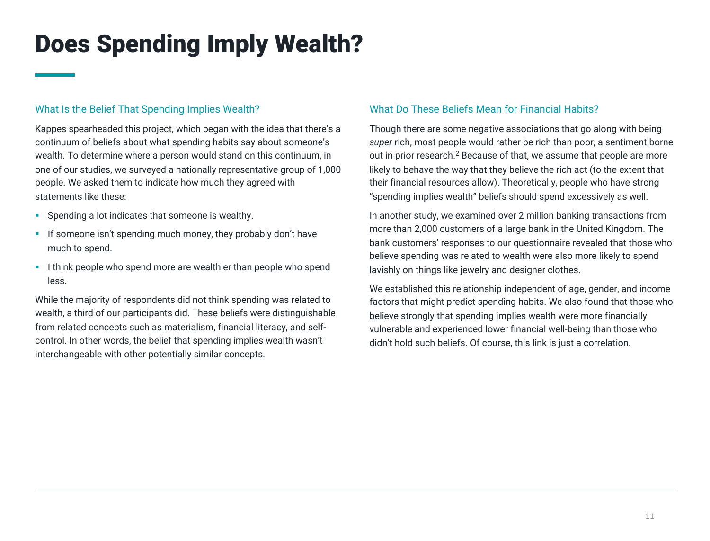# Does Spending Imply Wealth?

### What Is the Belief That Spending Implies Wealth?

Kappes spearheaded this project, which began with the idea that there's a continuum of beliefs about what spending habits say about someone's wealth. To determine where a person would stand on this continuum, in one of our studies, we surveyed a nationally representative group of 1,000 people. We asked them to indicate how much they agreed with statements like these:

- **•** Spending a lot indicates that someone is wealthy.
- **•** If someone isn't spending much money, they probably don't have much to spend.
- **I think people who spend more are wealthier than people who spend** less.

While the majority of respondents did not think spending was related to wealth, a third of our participants did. These beliefs were distinguishable from related concepts such as materialism, financial literacy, and selfcontrol. In other words, the belief that spending implies wealth wasn't interchangeable with other potentially similar concepts.

#### What Do These Beliefs Mean for Financial Habits?

Though there are some negative associations that go along with being *super* rich, most people would rather be rich than poor, a sentiment borne out in prior research.2 Because of that, we assume that people are more likely to behave the way that they believe the rich act (to the extent that their financial resources allow). Theoretically, people who have strong "spending implies wealth" beliefs should spend excessively as well.

In another study, we examined over 2 million banking transactions from more than 2,000 customers of a large bank in the United Kingdom. The bank customers' responses to our questionnaire revealed that those who believe spending was related to wealth were also more likely to spend lavishly on things like jewelry and designer clothes.

We established this relationship independent of age, gender, and income factors that might predict spending habits. We also found that those who believe strongly that spending implies wealth were more financially vulnerable and experienced lower financial well-being than those who didn't hold such beliefs. Of course, this link is just a correlation.